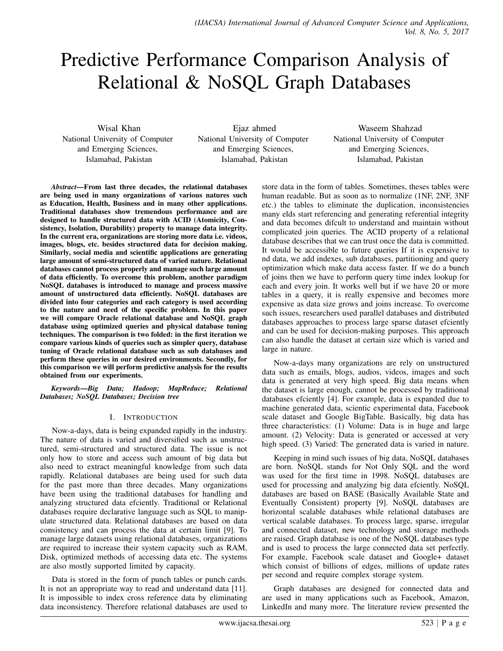# Predictive Performance Comparison Analysis of Relational & NoSQL Graph Databases

Wisal Khan National University of Computer and Emerging Sciences, Islamabad, Pakistan

Ejaz ahmed National University of Computer and Emerging Sciences, Islamabad, Pakistan

Waseem Shahzad National University of Computer and Emerging Sciences, Islamabad, Pakistan

*Abstract*—From last three decades, the relational databases are being used in many organizations of various natures such as Education, Health, Business and in many other applications. Traditional databases show tremendous performance and are designed to handle structured data with ACID (Atomicity, Consistency, Isolation, Durability) property to manage data integrity. In the current era, organizations are storing more data i.e. videos, images, blogs, etc. besides structured data for decision making. Similarly, social media and scientific applications are generating large amount of semi-structured data of varied nature. Relational databases cannot process properly and manage such large amount of data efficiently. To overcome this problem, another paradigm NoSQL databases is introduced to manage and process massive amount of unstructured data efficiently. NoSQL databases are divided into four categories and each category is used according to the nature and need of the specific problem. In this paper we will compare Oracle relational database and NoSQL graph database using optimized queries and physical database tuning techniques. The comparison is two folded: in the first iteration we compare various kinds of queries such as simpler query, database tuning of Oracle relational database such as sub databases and perform these queries in our desired environments. Secondly, for this comparison we will perform predictive analysis for the results obtained from our experiments.

*Keywords*—*Big Data; Hadoop; MapReduce; Relational Databases; NoSQL Databases; Decision tree*

## I. INTRODUCTION

Now-a-days, data is being expanded rapidly in the industry. The nature of data is varied and diversified such as unstructured, semi-structured and structured data. The issue is not only how to store and access such amount of big data but also need to extract meaningful knowledge from such data rapidly. Relational databases are being used for such data for the past more than three decades. Many organizations have been using the traditional databases for handling and analyzing structured data efciently. Traditional or Relational databases require declarative language such as SQL to manipulate structured data. Relational databases are based on data consistency and can process the data at certain limit [9]. To manage large datasets using relational databases, organizations are required to increase their system capacity such as RAM, Disk, optimized methods of accessing data etc. The systems are also mostly supported limited by capacity.

Data is stored in the form of punch tables or punch cards. It is not an appropriate way to read and understand data [11]. It is impossible to index cross reference data by eliminating data inconsistency. Therefore relational databases are used to store data in the form of tables. Sometimes, theses tables were human readable. But as soon as to normalize (1NF, 2NF, 3NF etc.) the tables to eliminate the duplication, inconsistencies many elds start referencing and generating referential integrity and data becomes difcult to understand and maintain without complicated join queries. The ACID property of a relational database describes that we can trust once the data is committed. It would be accessible to future queries If it is expensive to nd data, we add indexes, sub databases, partitioning and query optimization which make data access faster. If we do a bunch of joins then we have to perform query time index lookup for each and every join. It works well but if we have 20 or more tables in a query, it is really expensive and becomes more expensive as data size grows and joins increase. To overcome such issues, researchers used parallel databases and distributed databases approaches to process large sparse dataset efciently and can be used for decision-making purposes. This approach can also handle the dataset at certain size which is varied and large in nature.

Now-a-days many organizations are rely on unstructured data such as emails, blogs, audios, videos, images and such data is generated at very high speed. Big data means when the dataset is large enough, cannot be processed by traditional databases efciently [4]. For example, data is expanded due to machine generated data, scientic experimental data, Facebook scale dataset and Google BigTable. Basically, big data has three characteristics: (1) Volume: Data is in huge and large amount. (2) Velocity: Data is generated or accessed at very high speed. (3) Varied: The generated data is varied in nature.

Keeping in mind such issues of big data, NoSQL databases are born. NoSQL stands for Not Only SQL and the word was used for the first time in 1998. NoSQL databases are used for processing and analyzing big data efciently. NoSQL databases are based on BASE (Basically Available State and Eventually Consistent) property [9]. NoSQL databases are horizontal scalable databases while relational databases are vertical scalable databases. To process large, sparse, irregular and connected dataset, new technology and storage methods are raised. Graph database is one of the NoSQL databases type and is used to process the large connected data set perfectly. For example, Facebook scale dataset and Google+ dataset which consist of billions of edges, millions of update rates per second and require complex storage system.

Graph databases are designed for connected data and are used in many applications such as Facebook, Amazon, LinkedIn and many more. The literature review presented the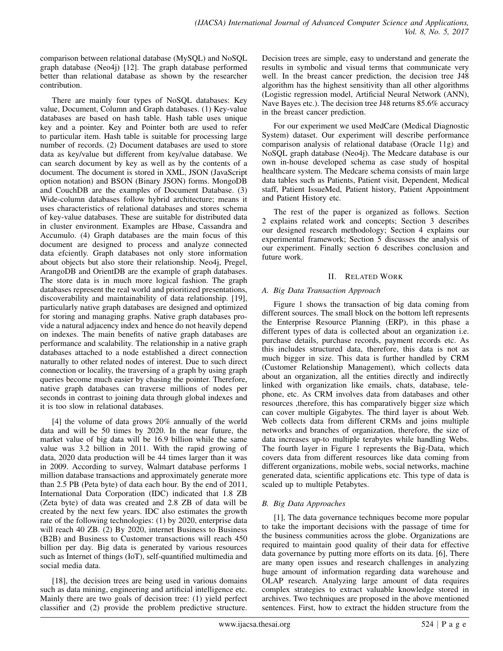comparison between relational database (MySQL) and NoSQL graph database (Neo4j) [12]. The graph database performed better than relational database as shown by the researcher contribution.

There are mainly four types of NoSQL databases: Key value, Document, Column and Graph databases. (1) Key-value databases are based on hash table. Hash table uses unique key and a pointer. Key and Pointer both are used to refer to particular item. Hash table is suitable for processing large number of records. (2) Document databases are used to store data as key/value but different from key/value database. We can search document by key as well as by the contents of a document. The document is stored in XML, JSON (JavaScript option notation) and BSON (Binary JSON) forms. MongoDB and CouchDB are the examples of Document Database. (3) Wide-column databases follow hybrid architecture; means it uses characteristics of relational databases and stores schema of key-value databases. These are suitable for distributed data in cluster environment. Examples are Hbase, Cassandra and Accumulo. (4) Graph databases are the main focus of this document are designed to process and analyze connected data efciently. Graph databases not only store information about objects but also store their relationship. Neo4j, Pregel, ArangoDB and OrientDB are the example of graph databases. The store data is in much more logical fashion. The graph databases represent the real world and prioritized presentations, discoverability and maintainability of data relationship. [19], particularly native graph databases are designed and optimized for storing and managing graphs. Native graph databases provide a natural adjacency index and hence do not heavily depend on indexes. The main benefits of native graph databases are performance and scalability. The relationship in a native graph databases attached to a node established a direct connection naturally to other related nodes of interest. Due to such direct connection or locality, the traversing of a graph by using graph queries become much easier by chasing the pointer. Therefore, native graph databases can traverse millions of nodes per seconds in contrast to joining data through global indexes and it is too slow in relational databases.

[4] the volume of data grows 20% annually of the world data and will be 50 times by 2020. In the near future, the market value of big data will be 16.9 billion while the same value was 3.2 billion in 2011. With the rapid growing of data, 2020 data production will be 44 times larger than it was in 2009. According to survey, Walmart database performs 1 million database transactions and approximately generate more than 2.5 PB (Peta byte) of data each hour. By the end of 2011, International Data Corporation (IDC) indicated that 1.8 ZB (Zeta byte) of data was created and 2.8 ZB of data will be created by the next few years. IDC also estimates the growth rate of the following technologies: (1) by 2020, enterprise data will reach 40 ZB. (2) By 2020, internet Business to Business (B2B) and Business to Customer transactions will reach 450 billion per day. Big data is generated by various resources such as Internet of things (IoT), self-quantified multimedia and social media data.

[18], the decision trees are being used in various domains such as data mining, engineering and artificial intelligence etc. Mainly there are two goals of decision tree: (1) yield perfect classifier and (2) provide the problem predictive structure.

Decision trees are simple, easy to understand and generate the results in symbolic and visual terms that communicate very well. In the breast cancer prediction, the decision tree J48 algorithm has the highest sensitivity than all other algorithms (Logistic regression model, Artificial Neural Network (ANN), Nave Bayes etc.). The decision tree J48 returns 85.6% accuracy in the breast cancer prediction.

For our experiment we used MedCare (Medical Diagnostic System) dataset. Our experiment will describe performance comparison analysis of relational database (Oracle 11g) and NoSQL graph database (Neo4j). The Medcare database is our own in-house developed schema as case study of hospital healthcare system. The Medcare schema consists of main large data tables such as Patients, Patient visit, Dependent, Medical staff, Patient IssueMed, Patient history, Patient Appointment and Patient History etc.

The rest of the paper is organized as follows. Section 2 explains related work and concepts; Section 3 describes our designed research methodology; Section 4 explains our experimental framework; Section 5 discusses the analysis of our experiment. Finally section 6 describes conclusion and future work.

## II. RELATED WORK

### *A. Big Data Transaction Approach*

Figure 1 shows the transaction of big data coming from different sources. The small block on the bottom left represents the Enterprise Resource Planning (ERP), in this phase a different types of data is collected about an organization i.e. purchase details, purchase records, payment records etc. As this includes structured data, therefore, this data is not as much bigger in size. This data is further handled by CRM (Customer Relationship Management), which collects data about an organization, all the entities directly and indirectly linked with organization like emails, chats, database, telephone, etc. As CRM involves data from databases and other resources ,therefore, this has comparatively bigger size which can cover multiple Gigabytes. The third layer is about Web. Web collects data from different CRMs and joins multiple networks and branches of organization, therefore, the size of data increases up-to multiple terabytes while handling Webs. The fourth layer in Figure 1 represents the Big-Data, which covers data from different resources like data coming from different organizations, mobile webs, social networks, machine generated data, scientific applications etc. This type of data is scaled up to multiple Petabytes.

## *B. Big Data Approaches*

[1], The data governance techniques become more popular to take the important decisions with the passage of time for the business communities across the globe. Organizations are required to maintain good quality of their data for effective data governance by putting more efforts on its data. [6], There are many open issues and research challenges in analyzing huge amount of information regarding data warehouse and OLAP research. Analyzing large amount of data requires complex strategies to extract valuable knowledge stored in archives. Two techniques are proposed in the above mentioned sentences. First, how to extract the hidden structure from the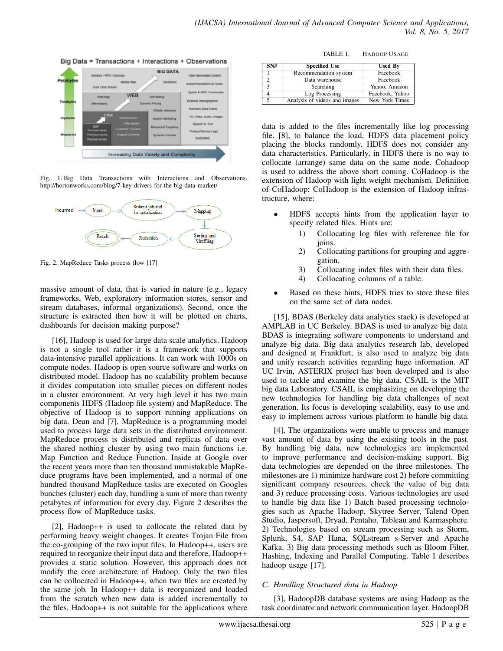

Fig. 1. Big Data Transactions with Interactions and Observations. http://hortonworks.com/blog/7-key-drivers-for-the-big-data-market/



Fig. 2. MapReduce Tasks process flow [17]

massive amount of data, that is varied in nature (e.g., legacy frameworks, Web, exploratory information stores, sensor and stream databases, informal organizations). Second, once the structure is extracted then how it will be plotted on charts, dashboards for decision making purpose?

[16], Hadoop is used for large data scale analytics. Hadoop is not a single tool rather it is a framework that supports data-intensive parallel applications. It can work with 1000s on compute nodes. Hadoop is open source software and works on distributed model. Hadoop has no scalability problem because it divides computation into smaller pieces on different nodes in a cluster environment. At very high level it has two main components HDFS (Hadoop file system) and MapReduce. The objective of Hadoop is to support running applications on big data. Dean and [7], MapReduce is a programming model used to process large data sets in the distributed environment. MapReduce process is distributed and replicas of data over the shared nothing cluster by using two main functions i.e. Map Function and Reduce Function. Inside at Google over the recent years more than ten thousand unmistakable MapReduce programs have been implemented, and a normal of one hundred thousand MapReduce tasks are executed on Googles bunches (cluster) each day, handling a sum of more than twenty petabytes of information for every day. Figure 2 describes the process flow of MapReduce tasks.

[2], Hadoop++ is used to collocate the related data by performing heavy weight changes. It creates Trojan File from the co-grouping of the two input files. In Hadoop++, users are required to reorganize their input data and therefore, Hadoop++ provides a static solution. However, this approach does not modify the core architecture of Hadoop. Only the two files can be collocated in Hadoop++, when two files are created by the same job. In Hadoop++ data is reorganized and loaded from the scratch when new data is added incrementally to the files. Hadoop++ is not suitable for the applications where

TABLE I. HADOOP USAGE

| SN# | <b>Specified Use</b>          | <b>Used By</b>  |
|-----|-------------------------------|-----------------|
|     | Recommendation system         | Facebook        |
|     | Data warehouse                | Facebook        |
|     | Searching                     | Yahoo, Amazon   |
|     | Log Processing                | Facebook, Yahoo |
|     | Analysis of videos and images | New York Times  |

data is added to the files incrementally like log processing file. [8], to balance the load, HDFS data placement policy placing the blocks randomly. HDFS does not consider any data characteristics. Particularly, in HDFS there is no way to collocate (arrange) same data on the same node. Cohadoop is used to address the above short coming. CoHadoop is the extension of Hadoop with light weight mechanism. Definition of CoHadoop: CoHadoop is the extension of Hadoop infrastructure, where:

- HDFS accepts hints from the application layer to specify related files. Hints are:
	- 1) Collocating log files with reference file for joins.
	- 2) Collocating partitions for grouping and aggregation.
	- 3) Collocating index files with their data files.<br>4) Collocating columns of a table.
	- Collocating columns of a table.
- Based on these hints, HDFS tries to store these files on the same set of data nodes.

[15], BDAS (Berkeley data analytics stack) is developed at AMPLAB in UC Berkeley. BDAS is used to analyze big data. BDAS is integrating software components to understand and analyze big data. Big data analytics research lab, developed and designed at Frankfurt, is also used to analyze big data and unify research activities regarding huge information. AT UC Irvin, ASTERIX project has been developed and is also used to tackle and examine the big data. CSAIL is the MIT big data Laboratory. CSAIL is emphasizing on developing the new technologies for handling big data challenges of next generation. Its focus is developing scalability, easy to use and easy to implement across various platform to handle big data.

[4], The organizations were unable to process and manage vast amount of data by using the existing tools in the past. By handling big data, new technologies are implemented to improve performance and decision-making support. Big data technologies are depended on the three milestones. The milestones are 1) minimize hardware cost 2) before committing significant company resources, check the value of big data and 3) reduce processing costs. Various technologies are used to handle big data like 1) Batch based processing technologies such as Apache Hadoop, Skytree Server, Talend Open Studio, Jaspersoft, Dryad, Pentaho, Tableau and Karmasphere. 2) Technologies based on stream processing such as Storm, Splunk, S4, SAP Hana, SQLstream s-Server and Apache Kafka. 3) Big data processing methods such as Bloom Filter, Hashing, Indexing and Parallel Computing. Table I describes hadoop usage [17].

## *C. Handling Structured data in Hadoop*

[3], HadoopDB database systems are using Hadoop as the task coordinator and network communication layer. HadoopDB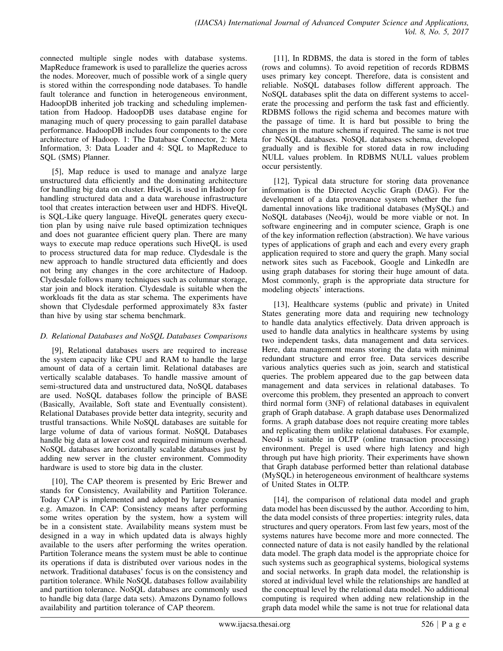connected multiple single nodes with database systems. MapReduce framework is used to parallelize the queries across the nodes. Moreover, much of possible work of a single query is stored within the corresponding node databases. To handle fault tolerance and function in heterogeneous environment, HadoopDB inherited job tracking and scheduling implementation from Hadoop. HadoopDB uses database engine for managing much of query processing to gain parallel database performance. HadoopDB includes four components to the core architecture of Hadoop. 1: The Database Connector, 2: Meta Information, 3: Data Loader and 4: SQL to MapReduce to SQL (SMS) Planner.

[5], Map reduce is used to manage and analyze large unstructured data efficiently and the dominating architecture for handling big data on cluster. HiveQL is used in Hadoop for handling structured data and a data warehouse infrastructure tool that creates interaction between user and HDFS. HiveQL is SQL-Like query language. HiveQL generates query execution plan by using naive rule based optimization techniques and does not guarantee efficient query plan. There are many ways to execute map reduce operations such HiveQL is used to process structured data for map reduce. Clydesdale is the new approach to handle structured data efficiently and does not bring any changes in the core architecture of Hadoop. Clydesdale follows many techniques such as columnar storage, star join and block iteration. Clydesdale is suitable when the workloads fit the data as star schema. The experiments have shown that Clydesdale performed approximately 83x faster than hive by using star schema benchmark.

## *D. Relational Databases and NoSQL Databases Comparisons*

[9], Relational databases users are required to increase the system capacity like CPU and RAM to handle the large amount of data of a certain limit. Relational databases are vertically scalable databases. To handle massive amount of semi-structured data and unstructured data, NoSQL databases are used. NoSQL databases follow the principle of BASE (Basically, Available, Soft state and Eventually consistent). Relational Databases provide better data integrity, security and trustful transactions. While NoSQL databases are suitable for large volume of data of various format. NoSQL Databases handle big data at lower cost and required minimum overhead. NoSQL databases are horizontally scalable databases just by adding new server in the cluster environment. Commodity hardware is used to store big data in the cluster.

[10], The CAP theorem is presented by Eric Brewer and stands for Consistency, Availability and Partition Tolerance. Today CAP is implemented and adopted by large companies e.g. Amazon. In CAP: Consistency means after performing some writes operation by the system, how a system will be in a consistent state. Availability means system must be designed in a way in which updated data is always highly available to the users after performing the writes operation. Partition Tolerance means the system must be able to continue its operations if data is distributed over various nodes in the network. Traditional databases' focus is on the consistency and partition tolerance. While NoSQL databases follow availability and partition tolerance. NoSQL databases are commonly used to handle big data (large data sets). Amazons Dynamo follows availability and partition tolerance of CAP theorem.

[11], In RDBMS, the data is stored in the form of tables (rows and columns). To avoid repetition of records RDBMS uses primary key concept. Therefore, data is consistent and reliable. NoSQL databases follow different approach. The NoSQL databases split the data on different systems to accelerate the processing and perform the task fast and efficiently. RDBMS follows the rigid schema and becomes mature with the passage of time. It is hard but possible to bring the changes in the mature schema if required. The same is not true for NoSQL databases. NoSQL databases schema, developed gradually and is flexible for stored data in row including NULL values problem. In RDBMS NULL values problem occur persistently.

[12], Typical data structure for storing data provenance information is the Directed Acyclic Graph (DAG). For the development of a data provenance system whether the fundamental innovations like traditional databases (MySQL) and NoSQL databases (Neo4j), would be more viable or not. In software engineering and in computer science, Graph is one of the key information reflection (abstraction). We have various types of applications of graph and each and every every graph application required to store and query the graph. Many social network sites such as Facebook, Google and LinkedIn are using graph databases for storing their huge amount of data. Most commonly, graph is the appropriate data structure for modeling objects' interactions.

[13], Healthcare systems (public and private) in United States generating more data and requiring new technology to handle data analytics effectively. Data driven approach is used to handle data analytics in healthcare systems by using two independent tasks, data management and data services. Here, data management means storing the data with minimal redundant structure and error free. Data services describe various analytics queries such as join, search and statistical queries. The problem appeared due to the gap between data management and data services in relational databases. To overcome this problem, they presented an approach to convert third normal form (3NF) of relational databases in equivalent graph of Graph database. A graph database uses Denormalized forms. A graph database does not require creating more tables and replicating them unlike relational databases. For example, Neo4J is suitable in OLTP (online transaction processing) environment. Pregel is used where high latency and high through put have high priority. Their experiments have shown that Graph database performed better than relational database (MySQL) in heterogeneous environment of healthcare systems of United States in OLTP.

[14], the comparison of relational data model and graph data model has been discussed by the author. According to him, the data model consists of three properties: integrity rules, data structures and query operators. From last few years, most of the systems natures have become more and more connected. The connected nature of data is not easily handled by the relational data model. The graph data model is the appropriate choice for such systems such as geographical systems, biological systems and social networks. In graph data model, the relationship is stored at individual level while the relationships are handled at the conceptual level by the relational data model. No additional computing is required when adding new relationship in the graph data model while the same is not true for relational data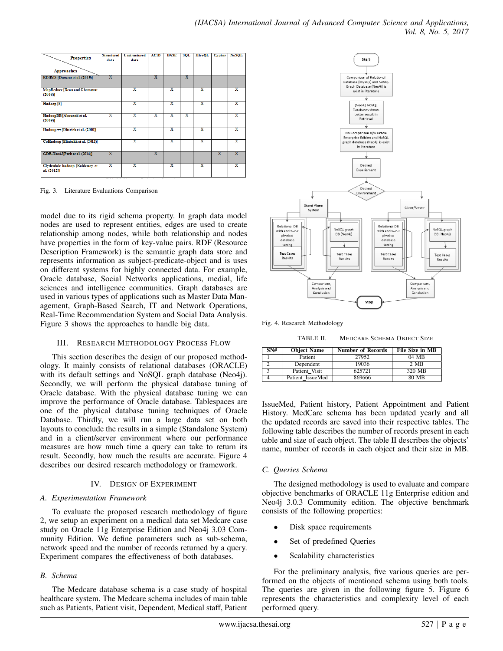| <b>Properties</b><br>Approaches                   | <b>Structured</b><br>data | <b>Unstructured</b><br>data | <b>ACID</b> | <b>BASE</b> | <b>SQL</b> | <b>HiveQL</b>           | <b>Cypher</b> | <b>NoSOL</b> |
|---------------------------------------------------|---------------------------|-----------------------------|-------------|-------------|------------|-------------------------|---------------|--------------|
| RDBMS [Oussous et al. (2015)]                     | x                         |                             | x           |             | x          |                         |               |              |
| MapReduce [Dean and Ghemawat<br>$(2008)$ ]        |                           | x                           |             | x           |            | x                       |               | x            |
| Hadoop <sup>[8]</sup>                             |                           | x                           |             | x           |            | x                       |               | х            |
| HadoopDB [Abouzeid et al.<br>$(2009)$ ]           | x                         | x                           | x           | x           | x          |                         |               | x            |
| $Hadoop \nightharpoonup [Dittrich et al. (2010)]$ |                           | x                           |             | x           |            | x                       |               | x            |
| CoHadoop [Eltabakh et al. (2011)]                 |                           | x                           |             | x           |            | x                       |               | x            |
| GDB-Neo4J[Park et al. (2014)]                     | x                         |                             | x           |             |            |                         | x             | x            |
| Clydesdale hadoop [Kaldewey et<br>al. (2012)]     | x                         | x                           |             | x           |            | $\overline{\mathbf{x}}$ |               | x            |

Fig. 3. Literature Evaluations Comparison

model due to its rigid schema property. In graph data model nodes are used to represent entities, edges are used to create relationship among nodes, while both relationship and nodes have properties in the form of key-value pairs. RDF (Resource Description Framework) is the semantic graph data store and represents information as subject-predicate-object and is uses on different systems for highly connected data. For example, Oracle database, Social Networks applications, medial, life sciences and intelligence communities. Graph databases are used in various types of applications such as Master Data Management, Graph-Based Search, IT and Network Operations, Real-Time Recommendation System and Social Data Analysis. Figure 3 shows the approaches to handle big data.

## III. RESEARCH METHODOLOGY PROCESS FLOW

This section describes the design of our proposed methodology. It mainly consists of relational databases (ORACLE) with its default settings and NoSQL graph database (Neo4j). Secondly, we will perform the physical database tuning of Oracle database. With the physical database tuning we can improve the performance of Oracle database. Tablespaces are one of the physical database tuning techniques of Oracle Database. Thirdly, we will run a large data set on both layouts to conclude the results in a simple (Standalone System) and in a client/server environment where our performance measures are how much time a query can take to return its result. Secondly, how much the results are accurate. Figure 4 describes our desired research methodology or framework.

## IV. DESIGN OF EXPERIMENT

#### *A. Experimentation Framework*

To evaluate the proposed research methodology of figure 2, we setup an experiment on a medical data set Medcare case study on Oracle 11g Enterprise Edition and Neo4j 3.03 Community Edition. We define parameters such as sub-schema, network speed and the number of records returned by a query. Experiment compares the effectiveness of both databases.

## *B. Schema*

The Medcare database schema is a case study of hospital healthcare system. The Medcare schema includes of main table such as Patients, Patient visit, Dependent, Medical staff, Patient



Fig. 4. Research Methodology

TABLE II. MEDCARE SCHEMA OBJECT SIZE

| SN# | <b>Object Name</b> | <b>Number of Records</b> | File Size in MB |
|-----|--------------------|--------------------------|-----------------|
|     | Patient            | 27952                    | 04 MB           |
|     | Dependent          | 19036                    | 2 MB            |
|     | Patient Visit      | 625721                   | 320 MB          |
|     | Patient IssueMed   | 869666                   | 80 MB           |

IssueMed, Patient history, Patient Appointment and Patient History. MedCare schema has been updated yearly and all the updated records are saved into their respective tables. The following table describes the number of records present in each table and size of each object. The table II describes the objects' name, number of records in each object and their size in MB.

## *C. Queries Schema*

The designed methodology is used to evaluate and compare objective benchmarks of ORACLE 11g Enterprise edition and Neo4j 3.0.3 Community edition. The objective benchmark consists of the following properties:

- Disk space requirements
- Set of predefined Queries
- Scalability characteristics

For the preliminary analysis, five various queries are performed on the objects of mentioned schema using both tools. The queries are given in the following figure 5. Figure 6 represents the characteristics and complexity level of each performed query.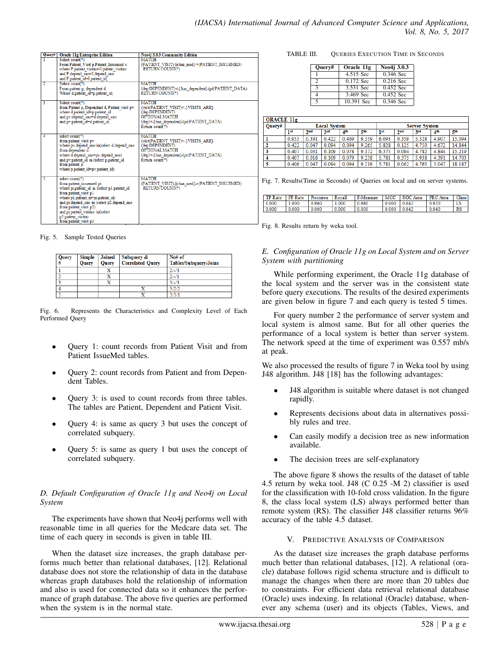| Query# | <b>Oracle 11g Enterprise Edition</b>                                                 | <b>Neo4j 3.0.3 Community Edition</b>                                          |
|--------|--------------------------------------------------------------------------------------|-------------------------------------------------------------------------------|
|        | Select count(*)                                                                      | <b>MATCH</b><br>(PATIENT VISIT)-fr:has medl->(PATIENT ISSUEMED)               |
|        | From Patient Visit p, Patient Issuemed i<br>where P.patient visitno=Lpatient visitno | <b>RETURN COUNT(*)</b>                                                        |
|        | and P.depend sno=L.depend sno                                                        |                                                                               |
|        | and P.patient id=Lpatient id:                                                        |                                                                               |
| 2      | Select count(*)                                                                      | <b>MATCH</b>                                                                  |
|        | From patient p, dependent d<br>Where d.patient id=p.patient id:                      | (dep:DEPENDENT)<-[:has dependent]-(pd:PATIENT DATA)<br><b>RETURN COUNT(*)</b> |
|        |                                                                                      |                                                                               |
| 3      | Select count(*)                                                                      | <b>MATCH</b>                                                                  |
|        | from Patient p. Dependent d. Patient visit pv                                        | (visitPATIENT VISIT)<-[:VISITS ARE]-                                          |
|        | where d.patient id=p.patient id<br>and pv.depend sno=d.depend sno                    | (dep:DEPENDENT)<br>OPTIONAL MATCH                                             |
|        | and pv.patient id=d.patient id;                                                      | (dep)<-[:has dependent]-(pd:PATIENT DATA)                                     |
|        |                                                                                      | Return count(*)                                                               |
|        |                                                                                      |                                                                               |
| 4      | select count(*)                                                                      | <b>MATCH</b>                                                                  |
|        | from patient visit pv<br>where pv.depend sno in(select d.depend sno                  | (visitPATIENT VISIT)<-[:VISITS ARE]-<br>(dep:DEPENDENT)                       |
|        | from dependent d                                                                     | <b>OPTIONAL MATCH</b>                                                         |
|        | where d.depend sno=pv.depend sno)                                                    | (dep)<-[:has dependent]-(pd:PATIENT DATA)                                     |
|        | and pv.patient id in (select p.patient id                                            | Return count(*)                                                               |
|        | from patient p                                                                       |                                                                               |
|        | where p.patient id=pv.patient id)                                                    |                                                                               |
| 5      | select count(*)                                                                      | <b>MATCH</b>                                                                  |
|        | from patient issuemed pi                                                             | (PATIENT VISIT)-[r.has med]->(PATIENT ISSUEMED)                               |
|        | where pi.patient id in (select p1.patient id                                         | <b>RETURN COUNT(*)</b>                                                        |
|        | from patient visit p1                                                                |                                                                               |
|        | where p1.patient id=pi.patient id)<br>and pi.depend sno in (select p2.depend sno     |                                                                               |
|        | from patient visit p2)                                                               |                                                                               |
|        | and pi.patient visitno in(select                                                     |                                                                               |
|        | p3.patient visitno                                                                   |                                                                               |
|        | from patient visit p3                                                                |                                                                               |

Fig. 5. Sample Tested Queries

| Query<br># | <b>Simple</b><br><b>Ouerv</b> | <b>Joined</b><br><b>Ouery</b> | Subquery &<br><b>Correlated Query</b> | No# of<br><b>Tables/Subquery/Joins</b> |
|------------|-------------------------------|-------------------------------|---------------------------------------|----------------------------------------|
|            |                               | X                             |                                       | $2/-/3$                                |
|            |                               |                               |                                       | $2/-/1$                                |
|            |                               | v                             |                                       | $3/-/3$                                |
|            |                               |                               |                                       | 3/2/2                                  |
|            |                               |                               |                                       | 3/3/1                                  |

Fig. 6. Represents the Characteristics and Complexity Level of Each Performed Query

- Query 1: count records from Patient Visit and from Patient IssueMed tables.
- Query 2: count records from Patient and from Dependent Tables.
- Query 3: is used to count records from three tables. The tables are Patient, Dependent and Patient Visit.
- Query 4: is same as query 3 but uses the concept of correlated subquery.
- Query 5: is same as query 1 but uses the concept of correlated subquery.

## *D. Default Configuration of Oracle 11g and Neo4j on Local System*

The experiments have shown that Neo4j performs well with reasonable time in all queries for the Medcare data set. The time of each query in seconds is given in table III.

When the dataset size increases, the graph database performs much better than relational databases, [12]. Relational database does not store the relationship of data in the database whereas graph databases hold the relationship of information and also is used for connected data so it enhances the performance of graph database. The above five queries are performed when the system is in the normal state.

#### TABLE III. QUERIES EXECUTION TIME IN SECONDS

| Ouerv#        | Oracle 11g | $\overline{\text{Neo4}}$ 3.0.3 |
|---------------|------------|--------------------------------|
|               | 4.515 Sec  | $0.346$ Sec                    |
| $\mathcal{D}$ | 0.172 Sec  | $0.216$ Sec                    |
| $\mathbf{3}$  | 3.531 Sec  | $0.452$ Sec                    |
|               | 3.469 Sec  | $0.452$ Sec                    |
|               | 10.391 Sec | $0.346$ Sec                    |

| <b>ORACLE 11g</b> |                     |                 |       |                 |       |                      |       |       |       |        |
|-------------------|---------------------|-----------------|-------|-----------------|-------|----------------------|-------|-------|-------|--------|
| Ouerv#            | <b>Local System</b> |                 |       |                 |       | <b>Server System</b> |       |       |       |        |
|                   | 1st                 | 2 <sub>nd</sub> | 3rd   | 4 <sup>th</sup> | 5th   | 1 <sub>st</sub>      | 2nd   | 3rd   | 4th   | 5th    |
|                   | 0.953               | 0.391           | 0.422 | 0.469           | 9.359 | 6.093                | 0.359 | 5.328 | 4.907 | 15.094 |
| 2                 | 0.422               | 0.047           | 0.094 | 0.094           | 9.265 | 5.828                | 0.125 | 4.750 | 4.672 | 14.844 |
| 3                 | 0.407               | 0.031           | 0.109 | 0.078           | 9.172 | 6.375                | 0.094 | 4.782 | 4.844 | 15.219 |
| -4                | 0.407               | 0.016           | 0.109 | 0.079           | 9.238 | 5.781                | 0.375 | 5.938 | 4.391 | 14.703 |
| 5                 | 0.406               | 0.047           | 0.094 | 0.094           | 9.219 | 5.781                | 0.062 | 4.765 | 5.047 | 18.187 |

Fig. 7. Results(Time in Seconds) of Queries on local and on server systems.

| <b>TP Rate</b> FP Rate |       | Precision | Recall | F-Measure |                 | MCC ROC Area | <b>PRC</b> Area | Class |
|------------------------|-------|-----------|--------|-----------|-----------------|--------------|-----------------|-------|
| 1.000                  | 1.000 | 0.960     | 1.000  | 0.980     | $0.000$ $0.042$ |              | 0.920           |       |
| 0.000                  | 0.000 | 0.000     | 0.000  | 0.000     | $0.000$ $0.042$ |              | 0.040           | RS    |

Fig. 8. Results return by weka tool.

## *E. Configuration of Oracle 11g on Local System and on Server System with partitioning*

While performing experiment, the Oracle 11g database of the local system and the server was in the consistent state before query executions. The results of the desired experiments are given below in figure 7 and each query is tested 5 times.

For query number 2 the performance of server system and local system is almost same. But for all other queries the performance of a local system is better than server system. The network speed at the time of experiment was 0.557 mb/s at peak.

We also processed the results of figure 7 in Weka tool by using J48 algorithm. J48 [18] has the following advantages:

- J48 algorithm is suitable where dataset is not changed rapidly.
- Represents decisions about data in alternatives possibly rules and tree.
- Can easily modify a decision tree as new information available.
- The decision trees are self-explanatory

The above figure 8 shows the results of the dataset of table 4.5 return by weka tool. J48 (C 0.25 -M 2) classifier is used for the classification with 10-fold cross validation. In the figure 8, the class local system (LS) always performed better than remote system (RS). The classifier J48 classifier returns 96% accuracy of the table 4.5 dataset.

#### V. PREDICTIVE ANALYSIS OF COMPARISON

As the dataset size increases the graph database performs much better than relational databases, [12]. A relational (oracle) database follows rigid schema structure and is difficult to manage the changes when there are more than 20 tables due to constraints. For efficient data retrieval relational database (Oracle) uses indexing. In relational (Oracle) database, whenever any schema (user) and its objects (Tables, Views, and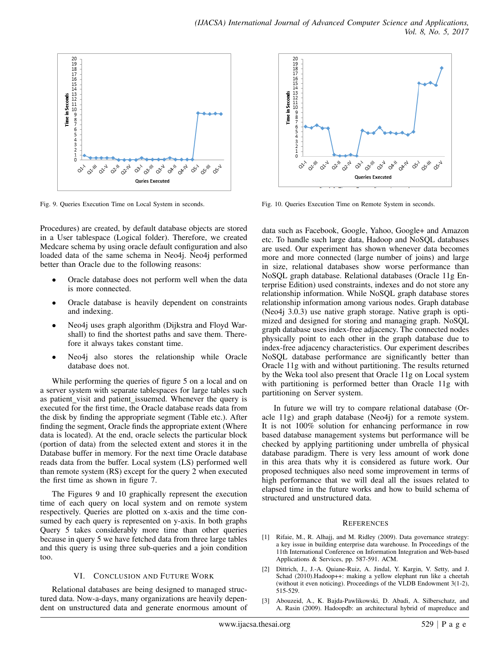

Fig. 9. Queries Execution Time on Local System in seconds.

Procedures) are created, by default database objects are stored in a User tablespace (Logical folder). Therefore, we created Medcare schema by using oracle default configuration and also loaded data of the same schema in Neo4j. Neo4j performed better than Oracle due to the following reasons:

- Oracle database does not perform well when the data is more connected.
- Oracle database is heavily dependent on constraints and indexing.
- Neo4j uses graph algorithm (Dijkstra and Floyd Warshall) to find the shortest paths and save them. Therefore it always takes constant time.
- Neo4j also stores the relationship while Oracle database does not.

While performing the queries of figure 5 on a local and on a server system with separate tablespaces for large tables such as patient visit and patient issuemed. Whenever the query is executed for the first time, the Oracle database reads data from the disk by finding the appropriate segment (Table etc.). After finding the segment, Oracle finds the appropriate extent (Where data is located). At the end, oracle selects the particular block (portion of data) from the selected extent and stores it in the Database buffer in memory. For the next time Oracle database reads data from the buffer. Local system (LS) performed well than remote system (RS) except for the query 2 when executed the first time as shown in figure 7.

The Figures 9 and 10 graphically represent the execution time of each query on local system and on remote system respectively. Queries are plotted on x-axis and the time consumed by each query is represented on y-axis. In both graphs Query 5 takes considerably more time than other queries because in query 5 we have fetched data from three large tables and this query is using three sub-queries and a join condition too.

#### VI. CONCLUSION AND FUTURE WORK

Relational databases are being designed to managed structured data. Now-a-days, many organizations are heavily dependent on unstructured data and generate enormous amount of



Fig. 10. Queries Execution Time on Remote System in seconds.

data such as Facebook, Google, Yahoo, Google+ and Amazon etc. To handle such large data, Hadoop and NoSQL databases are used. Our experiment has shown whenever data becomes more and more connected (large number of joins) and large in size, relational databases show worse performance than NoSQL graph database. Relational databases (Oracle 11g Enterprise Edition) used constraints, indexes and do not store any relationship information. While NoSQL graph database stores relationship information among various nodes. Graph database (Neo4j 3.0.3) use native graph storage. Native graph is optimized and designed for storing and managing graph. NoSQL graph database uses index-free adjacency. The connected nodes physically point to each other in the graph database due to index-free adjacency characteristics. Our experiment describes NoSQL database performance are significantly better than Oracle 11g with and without partitioning. The results returned by the Weka tool also present that Oracle 11g on Local system with partitioning is performed better than Oracle 11g with partitioning on Server system.

In future we will try to compare relational database (Oracle 11g) and graph database (Neo4j) for a remote system. It is not 100% solution for enhancing performance in row based database management systems but performance will be checked by applying partitioning under umbrella of physical database paradigm. There is very less amount of work done in this area thats why it is considered as future work. Our proposed techniques also need some improvement in terms of high performance that we will deal all the issues related to elapsed time in the future works and how to build schema of structured and unstructured data.

#### **REFERENCES**

- [1] Rifaie, M., R. Alhajj, and M. Ridley (2009). Data governance strategy: a key issue in building enterprise data warehouse. In Proceedings of the 11th International Conference on Information Integration and Web-based Applications & Services, pp. 587-591. ACM.
- [2] Dittrich, J., J.-A. Quiane-Ruiz, A. Jindal, Y. Kargin, V. Setty, and J. Schad (2010).Hadoop++: making a yellow elephant run like a cheetah (without it even noticing). Proceedings of the VLDB Endowment 3(1-2), 515-529.
- [3] Abouzeid, A., K. Bajda-Pawlikowski, D. Abadi, A. Silberschatz, and A. Rasin (2009). Hadoopdb: an architectural hybrid of mapreduce and